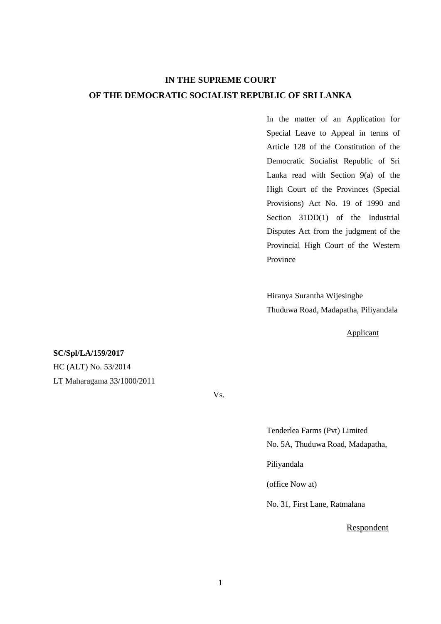# **IN THE SUPREME COURT OF THE DEMOCRATIC SOCIALIST REPUBLIC OF SRI LANKA**

In the matter of an Application for Special Leave to Appeal in terms of Article 128 of the Constitution of the Democratic Socialist Republic of Sri Lanka read with Section 9(a) of the High Court of the Provinces (Special Provisions) Act No. 19 of 1990 and Section 31DD(1) of the Industrial Disputes Act from the judgment of the Provincial High Court of the Western Province

Hiranya Surantha Wijesinghe Thuduwa Road, Madapatha, Piliyandala

Applicant

#### **SC/Spl/LA/159/2017**

HC (ALT) No. 53/2014 LT Maharagama 33/1000/2011

Vs.

Tenderlea Farms (Pvt) Limited No. 5A, Thuduwa Road, Madapatha, Piliyandala (office Now at) No. 31, First Lane, Ratmalana

Respondent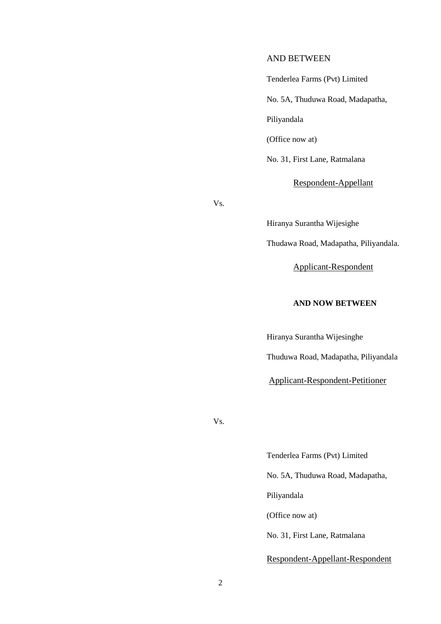#### AND BETWEEN

Tenderlea Farms (Pvt) Limited No. 5A, Thuduwa Road, Madapatha, Piliyandala (Office now at) No. 31, First Lane, Ratmalana

Respondent-Appellant

Vs.

Hiranya Surantha Wijesighe

Thudawa Road, Madapatha, Piliyandala.

Applicant-Respondent

# **AND NOW BETWEEN**

Hiranya Surantha Wijesinghe

Thuduwa Road, Madapatha, Piliyandala

Applicant-Respondent-Petitioner

Vs.

Tenderlea Farms (Pvt) Limited No. 5A, Thuduwa Road, Madapatha, Piliyandala (Office now at) No. 31, First Lane, Ratmalana

Respondent-Appellant-Respondent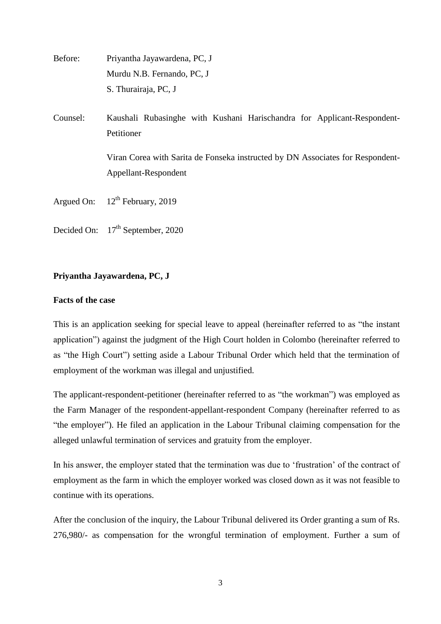| Before:    | Priyantha Jayawardena, PC, J                                                                           |
|------------|--------------------------------------------------------------------------------------------------------|
|            | Murdu N.B. Fernando, PC, J                                                                             |
|            | S. Thurairaja, PC, J                                                                                   |
| Counsel:   | Kaushali Rubasinghe with Kushani Harischandra for Applicant-Respondent-<br>Petitioner                  |
|            | Viran Corea with Sarita de Fonseka instructed by DN Associates for Respondent-<br>Appellant-Respondent |
| Argued On: | $12^{th}$ February, 2019                                                                               |
|            | Decided On: $17th$ September, 2020                                                                     |

# **Priyantha Jayawardena, PC, J**

# **Facts of the case**

This is an application seeking for special leave to appeal (hereinafter referred to as "the instant application") against the judgment of the High Court holden in Colombo (hereinafter referred to as "the High Court") setting aside a Labour Tribunal Order which held that the termination of employment of the workman was illegal and unjustified.

The applicant-respondent-petitioner (hereinafter referred to as "the workman") was employed as the Farm Manager of the respondent-appellant-respondent Company (hereinafter referred to as "the employer"). He filed an application in the Labour Tribunal claiming compensation for the alleged unlawful termination of services and gratuity from the employer.

In his answer, the employer stated that the termination was due to 'frustration' of the contract of employment as the farm in which the employer worked was closed down as it was not feasible to continue with its operations.

After the conclusion of the inquiry, the Labour Tribunal delivered its Order granting a sum of Rs. 276,980/- as compensation for the wrongful termination of employment. Further a sum of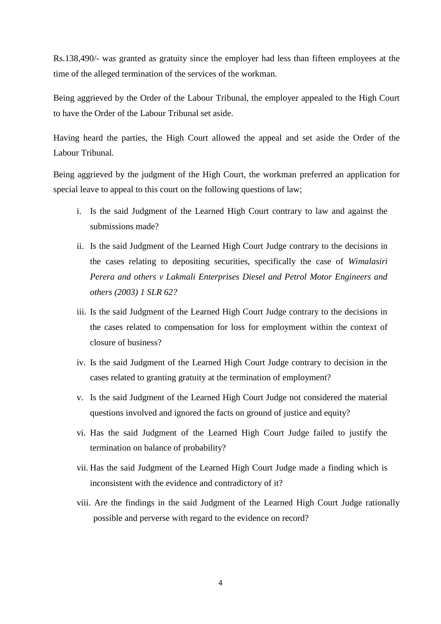Rs.138,490/- was granted as gratuity since the employer had less than fifteen employees at the time of the alleged termination of the services of the workman.

Being aggrieved by the Order of the Labour Tribunal, the employer appealed to the High Court to have the Order of the Labour Tribunal set aside.

Having heard the parties, the High Court allowed the appeal and set aside the Order of the Labour Tribunal.

Being aggrieved by the judgment of the High Court, the workman preferred an application for special leave to appeal to this court on the following questions of law;

- i. Is the said Judgment of the Learned High Court contrary to law and against the submissions made?
- ii. Is the said Judgment of the Learned High Court Judge contrary to the decisions in the cases relating to depositing securities, specifically the case of *Wimalasiri Perera and others v Lakmali Enterprises Diesel and Petrol Motor Engineers and others (2003) 1 SLR 62?*
- iii. Is the said Judgment of the Learned High Court Judge contrary to the decisions in the cases related to compensation for loss for employment within the context of closure of business?
- iv. Is the said Judgment of the Learned High Court Judge contrary to decision in the cases related to granting gratuity at the termination of employment?
- v. Is the said Judgment of the Learned High Court Judge not considered the material questions involved and ignored the facts on ground of justice and equity?
- vi. Has the said Judgment of the Learned High Court Judge failed to justify the termination on balance of probability?
- vii. Has the said Judgment of the Learned High Court Judge made a finding which is inconsistent with the evidence and contradictory of it?
- viii. Are the findings in the said Judgment of the Learned High Court Judge rationally possible and perverse with regard to the evidence on record?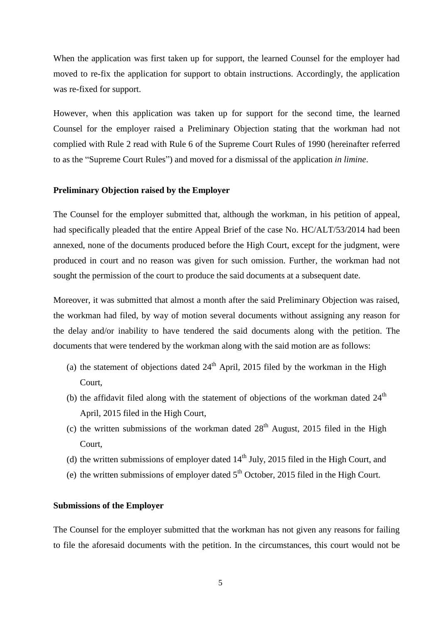When the application was first taken up for support, the learned Counsel for the employer had moved to re-fix the application for support to obtain instructions. Accordingly, the application was re-fixed for support.

However, when this application was taken up for support for the second time, the learned Counsel for the employer raised a Preliminary Objection stating that the workman had not complied with Rule 2 read with Rule 6 of the Supreme Court Rules of 1990 (hereinafter referred to as the "Supreme Court Rules") and moved for a dismissal of the application *in limine*.

# **Preliminary Objection raised by the Employer**

The Counsel for the employer submitted that, although the workman, in his petition of appeal, had specifically pleaded that the entire Appeal Brief of the case No. HC/ALT/53/2014 had been annexed, none of the documents produced before the High Court, except for the judgment, were produced in court and no reason was given for such omission. Further, the workman had not sought the permission of the court to produce the said documents at a subsequent date.

Moreover, it was submitted that almost a month after the said Preliminary Objection was raised, the workman had filed, by way of motion several documents without assigning any reason for the delay and/or inability to have tendered the said documents along with the petition. The documents that were tendered by the workman along with the said motion are as follows:

- (a) the statement of objections dated  $24<sup>th</sup>$  April, 2015 filed by the workman in the High Court,
- (b) the affidavit filed along with the statement of objections of the workman dated  $24<sup>th</sup>$ April, 2015 filed in the High Court,
- (c) the written submissions of the workman dated  $28<sup>th</sup>$  August, 2015 filed in the High Court,
- (d) the written submissions of employer dated  $14<sup>th</sup>$  July, 2015 filed in the High Court, and
- (e) the written submissions of employer dated  $5<sup>th</sup>$  October, 2015 filed in the High Court.

#### **Submissions of the Employer**

The Counsel for the employer submitted that the workman has not given any reasons for failing to file the aforesaid documents with the petition. In the circumstances, this court would not be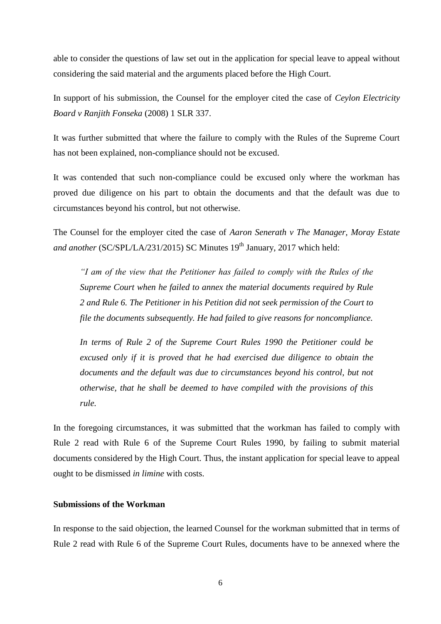able to consider the questions of law set out in the application for special leave to appeal without considering the said material and the arguments placed before the High Court.

In support of his submission, the Counsel for the employer cited the case of *Ceylon Electricity Board v Ranjith Fonseka* (2008) 1 SLR 337.

It was further submitted that where the failure to comply with the Rules of the Supreme Court has not been explained, non-compliance should not be excused.

It was contended that such non-compliance could be excused only where the workman has proved due diligence on his part to obtain the documents and that the default was due to circumstances beyond his control, but not otherwise.

The Counsel for the employer cited the case of *Aaron Senerath v The Manager, Moray Estate and another* (SC/SPL/LA/231/2015) SC Minutes 19<sup>th</sup> January, 2017 which held:

*"I am of the view that the Petitioner has failed to comply with the Rules of the Supreme Court when he failed to annex the material documents required by Rule 2 and Rule 6. The Petitioner in his Petition did not seek permission of the Court to file the documents subsequently. He had failed to give reasons for noncompliance.* 

*In terms of Rule 2 of the Supreme Court Rules 1990 the Petitioner could be excused only if it is proved that he had exercised due diligence to obtain the documents and the default was due to circumstances beyond his control, but not otherwise, that he shall be deemed to have compiled with the provisions of this rule.* 

In the foregoing circumstances, it was submitted that the workman has failed to comply with Rule 2 read with Rule 6 of the Supreme Court Rules 1990, by failing to submit material documents considered by the High Court. Thus, the instant application for special leave to appeal ought to be dismissed *in limine* with costs.

#### **Submissions of the Workman**

In response to the said objection, the learned Counsel for the workman submitted that in terms of Rule 2 read with Rule 6 of the Supreme Court Rules, documents have to be annexed where the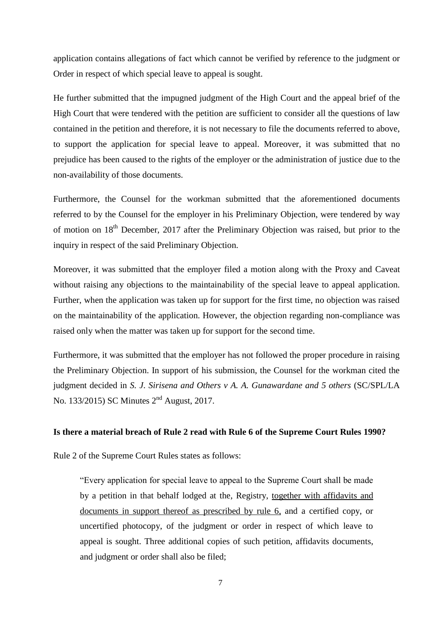application contains allegations of fact which cannot be verified by reference to the judgment or Order in respect of which special leave to appeal is sought.

He further submitted that the impugned judgment of the High Court and the appeal brief of the High Court that were tendered with the petition are sufficient to consider all the questions of law contained in the petition and therefore, it is not necessary to file the documents referred to above, to support the application for special leave to appeal. Moreover, it was submitted that no prejudice has been caused to the rights of the employer or the administration of justice due to the non-availability of those documents.

Furthermore, the Counsel for the workman submitted that the aforementioned documents referred to by the Counsel for the employer in his Preliminary Objection, were tendered by way of motion on  $18<sup>th</sup>$  December, 2017 after the Preliminary Objection was raised, but prior to the inquiry in respect of the said Preliminary Objection.

Moreover, it was submitted that the employer filed a motion along with the Proxy and Caveat without raising any objections to the maintainability of the special leave to appeal application. Further, when the application was taken up for support for the first time, no objection was raised on the maintainability of the application. However, the objection regarding non-compliance was raised only when the matter was taken up for support for the second time.

Furthermore, it was submitted that the employer has not followed the proper procedure in raising the Preliminary Objection. In support of his submission, the Counsel for the workman cited the judgment decided in *S. J. Sirisena and Others v A. A. Gunawardane and 5 others* (SC/SPL/LA No. 133/2015) SC Minutes 2<sup>nd</sup> August, 2017.

#### **Is there a material breach of Rule 2 read with Rule 6 of the Supreme Court Rules 1990?**

Rule 2 of the Supreme Court Rules states as follows:

"Every application for special leave to appeal to the Supreme Court shall be made by a petition in that behalf lodged at the, Registry, together with affidavits and documents in support thereof as prescribed by rule 6, and a certified copy, or uncertified photocopy, of the judgment or order in respect of which leave to appeal is sought. Three additional copies of such petition, affidavits documents, and judgment or order shall also be filed;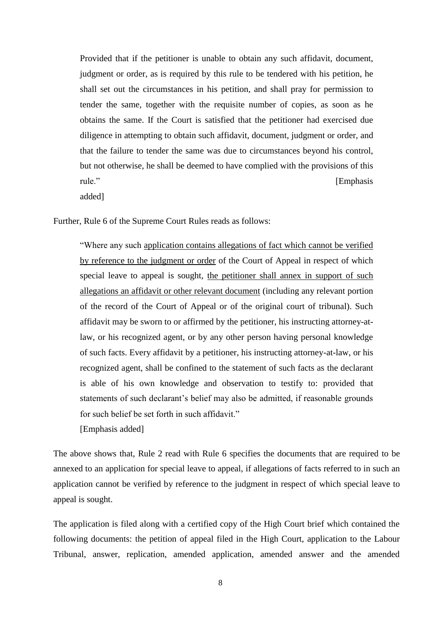Provided that if the petitioner is unable to obtain any such affidavit, document, judgment or order, as is required by this rule to be tendered with his petition, he shall set out the circumstances in his petition, and shall pray for permission to tender the same, together with the requisite number of copies, as soon as he obtains the same. If the Court is satisfied that the petitioner had exercised due diligence in attempting to obtain such affidavit, document, judgment or order, and that the failure to tender the same was due to circumstances beyond his control, but not otherwise, he shall be deemed to have complied with the provisions of this rule." [Emphasis

added]

Further, Rule 6 of the Supreme Court Rules reads as follows:

"Where any such application contains allegations of fact which cannot be verified by reference to the judgment or order of the Court of Appeal in respect of which special leave to appeal is sought, the petitioner shall annex in support of such allegations an affidavit or other relevant document (including any relevant portion of the record of the Court of Appeal or of the original court of tribunal). Such affidavit may be sworn to or affirmed by the petitioner, his instructing attorney-atlaw, or his recognized agent, or by any other person having personal knowledge of such facts. Every affidavit by a petitioner, his instructing attorney-at-law, or his recognized agent, shall be confined to the statement of such facts as the declarant is able of his own knowledge and observation to testify to: provided that statements of such declarant's belief may also be admitted, if reasonable grounds for such belief be set forth in such affidavit."

[Emphasis added]

The above shows that, Rule 2 read with Rule 6 specifies the documents that are required to be annexed to an application for special leave to appeal, if allegations of facts referred to in such an application cannot be verified by reference to the judgment in respect of which special leave to appeal is sought.

The application is filed along with a certified copy of the High Court brief which contained the following documents: the petition of appeal filed in the High Court, application to the Labour Tribunal, answer, replication, amended application, amended answer and the amended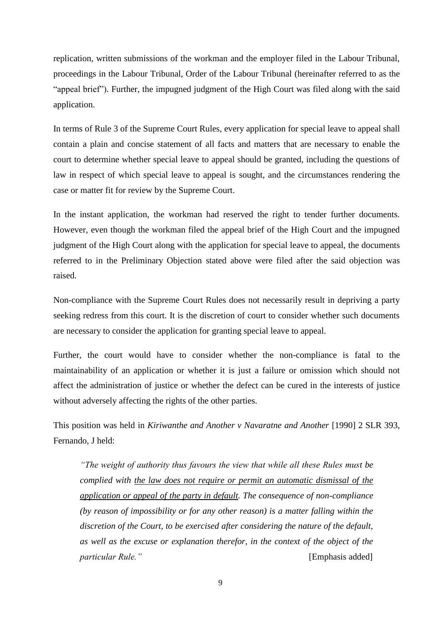replication, written submissions of the workman and the employer filed in the Labour Tribunal, proceedings in the Labour Tribunal, Order of the Labour Tribunal (hereinafter referred to as the "appeal brief"). Further, the impugned judgment of the High Court was filed along with the said application.

In terms of Rule 3 of the Supreme Court Rules, every application for special leave to appeal shall contain a plain and concise statement of all facts and matters that are necessary to enable the court to determine whether special leave to appeal should be granted, including the questions of law in respect of which special leave to appeal is sought, and the circumstances rendering the case or matter fit for review by the Supreme Court.

In the instant application, the workman had reserved the right to tender further documents. However, even though the workman filed the appeal brief of the High Court and the impugned judgment of the High Court along with the application for special leave to appeal, the documents referred to in the Preliminary Objection stated above were filed after the said objection was raised.

Non-compliance with the Supreme Court Rules does not necessarily result in depriving a party seeking redress from this court. It is the discretion of court to consider whether such documents are necessary to consider the application for granting special leave to appeal.

Further, the court would have to consider whether the non-compliance is fatal to the maintainability of an application or whether it is just a failure or omission which should not affect the administration of justice or whether the defect can be cured in the interests of justice without adversely affecting the rights of the other parties.

This position was held in *Kiriwanthe and Another v Navaratne and Another* [1990] 2 SLR 393, Fernando, J held:

*"The weight of authority thus favours the view that while all these Rules must be complied with the law does not require or permit an automatic dismissal of the application or appeal of the party in default. The consequence of non-compliance (by reason of impossibility or for any other reason) is a matter falling within the discretion of the Court, to be exercised after considering the nature of the default, as well as the excuse or explanation therefor, in the context of the object of the particular Rule.*" **[Emphasis added]**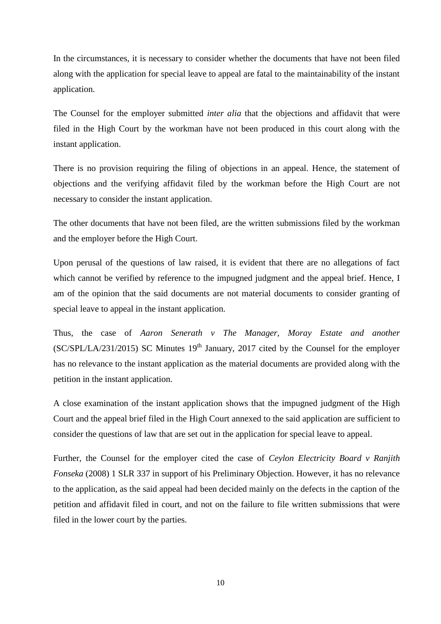In the circumstances, it is necessary to consider whether the documents that have not been filed along with the application for special leave to appeal are fatal to the maintainability of the instant application.

The Counsel for the employer submitted *inter alia* that the objections and affidavit that were filed in the High Court by the workman have not been produced in this court along with the instant application.

There is no provision requiring the filing of objections in an appeal. Hence, the statement of objections and the verifying affidavit filed by the workman before the High Court are not necessary to consider the instant application.

The other documents that have not been filed, are the written submissions filed by the workman and the employer before the High Court.

Upon perusal of the questions of law raised, it is evident that there are no allegations of fact which cannot be verified by reference to the impugned judgment and the appeal brief. Hence, I am of the opinion that the said documents are not material documents to consider granting of special leave to appeal in the instant application.

Thus, the case of *Aaron Senerath v The Manager*, *Moray Estate and another*  $(SC/SPL/LA/231/2015)$  SC Minutes  $19<sup>th</sup>$  January, 2017 cited by the Counsel for the employer has no relevance to the instant application as the material documents are provided along with the petition in the instant application.

A close examination of the instant application shows that the impugned judgment of the High Court and the appeal brief filed in the High Court annexed to the said application are sufficient to consider the questions of law that are set out in the application for special leave to appeal.

Further, the Counsel for the employer cited the case of *Ceylon Electricity Board v Ranjith Fonseka* (2008) 1 SLR 337 in support of his Preliminary Objection. However, it has no relevance to the application, as the said appeal had been decided mainly on the defects in the caption of the petition and affidavit filed in court, and not on the failure to file written submissions that were filed in the lower court by the parties.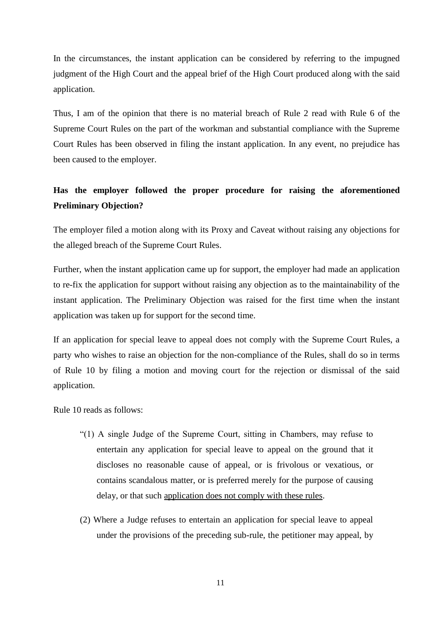In the circumstances, the instant application can be considered by referring to the impugned judgment of the High Court and the appeal brief of the High Court produced along with the said application.

Thus, I am of the opinion that there is no material breach of Rule 2 read with Rule 6 of the Supreme Court Rules on the part of the workman and substantial compliance with the Supreme Court Rules has been observed in filing the instant application. In any event, no prejudice has been caused to the employer.

# **Has the employer followed the proper procedure for raising the aforementioned Preliminary Objection?**

The employer filed a motion along with its Proxy and Caveat without raising any objections for the alleged breach of the Supreme Court Rules.

Further, when the instant application came up for support, the employer had made an application to re-fix the application for support without raising any objection as to the maintainability of the instant application. The Preliminary Objection was raised for the first time when the instant application was taken up for support for the second time.

If an application for special leave to appeal does not comply with the Supreme Court Rules, a party who wishes to raise an objection for the non-compliance of the Rules, shall do so in terms of Rule 10 by filing a motion and moving court for the rejection or dismissal of the said application.

Rule 10 reads as follows:

- "(1) A single Judge of the Supreme Court, sitting in Chambers, may refuse to entertain any application for special leave to appeal on the ground that it discloses no reasonable cause of appeal, or is frivolous or vexatious, or contains scandalous matter, or is preferred merely for the purpose of causing delay, or that such application does not comply with these rules.
- (2) Where a Judge refuses to entertain an application for special leave to appeal under the provisions of the preceding sub-rule, the petitioner may appeal, by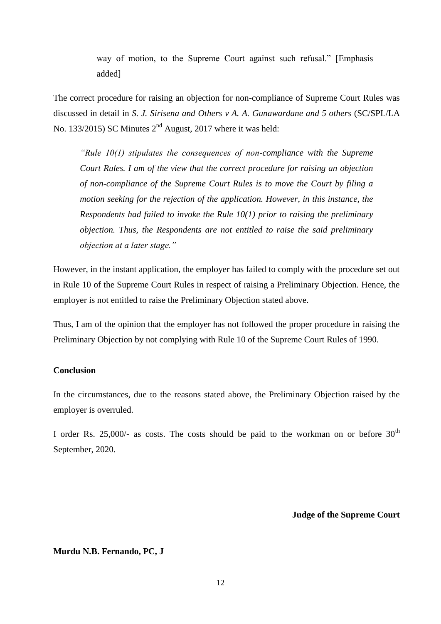way of motion, to the Supreme Court against such refusal." [Emphasis added]

The correct procedure for raising an objection for non-compliance of Supreme Court Rules was discussed in detail in *S. J. Sirisena and Others v A. A. Gunawardane and 5 others* (SC/SPL/LA No. 133/2015) SC Minutes 2<sup>nd</sup> August, 2017 where it was held:

*"Rule 10(1) stipulates the consequences of non-compliance with the Supreme Court Rules. I am of the view that the correct procedure for raising an objection of non-compliance of the Supreme Court Rules is to move the Court by filing a motion seeking for the rejection of the application. However, in this instance, the Respondents had failed to invoke the Rule 10(1) prior to raising the preliminary objection. Thus, the Respondents are not entitled to raise the said preliminary objection at a later stage."*

However, in the instant application, the employer has failed to comply with the procedure set out in Rule 10 of the Supreme Court Rules in respect of raising a Preliminary Objection. Hence, the employer is not entitled to raise the Preliminary Objection stated above.

Thus, I am of the opinion that the employer has not followed the proper procedure in raising the Preliminary Objection by not complying with Rule 10 of the Supreme Court Rules of 1990.

# **Conclusion**

In the circumstances, due to the reasons stated above, the Preliminary Objection raised by the employer is overruled.

I order Rs. 25,000/- as costs. The costs should be paid to the workman on or before  $30<sup>th</sup>$ September, 2020.

**Judge of the Supreme Court**

#### **Murdu N.B. Fernando, PC, J**